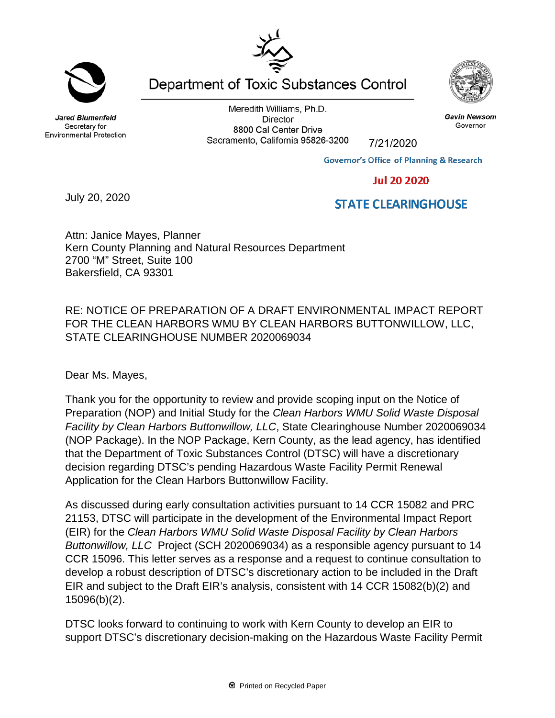Meredith Williams, Ph.D.

**Director** 8800 Cal Center Drive Sacramento, California 95826-3200 7/21/2020

**Governor's Office of Planning & Research** 

## **Jul 20 2020**

## **STATE CLEARINGHOUSE**

Attn: Janice Mayes, Planner Kern County Planning and Natural Resources Department 2700 "M" Street, Suite 100 Bakersfield, CA 93301

RE: NOTICE OF PREPARATION OF A DRAFT ENVIRONMENTAL IMPACT REPORT FOR THE CLEAN HARBORS WMU BY CLEAN HARBORS BUTTONWILLOW, LLC, STATE CLEARINGHOUSE NUMBER 2020069034

Dear Ms. Mayes,

Thank you for the opportunity to review and provide scoping input on the Notice of Preparation (NOP) and Initial Study for the *Clean Harbors WMU Solid Waste Disposal Facility by Clean Harbors Buttonwillow, LLC*, State Clearinghouse Number 2020069034 (NOP Package). In the NOP Package, Kern County, as the lead agency, has identified that the Department of Toxic Substances Control (DTSC) will have a discretionary decision regarding DTSC's pending Hazardous Waste Facility Permit Renewal Application for the Clean Harbors Buttonwillow Facility.

As discussed during early consultation activities pursuant to 14 CCR 15082 and PRC 21153, DTSC will participate in the development of the Environmental Impact Report (EIR) for the *Clean Harbors WMU Solid Waste Disposal Facility by Clean Harbors Buttonwillow, LLC* Project (SCH 2020069034) as a responsible agency pursuant to 14 CCR 15096. This letter serves as a response and a request to continue consultation to develop a robust description of DTSC's discretionary action to be included in the Draft EIR and subject to the Draft EIR's analysis, consistent with 14 CCR 15082(b)(2) and 15096(b)(2).

DTSC looks forward to continuing to work with Kern County to develop an EIR to support DTSC's discretionary decision-making on the Hazardous Waste Facility Permit



Jared Blumenfeld

Secretary for

**Environmental Protection** 

July 20, 2020





**Gavin Newsom** 

Governor



Department of Toxic Substances Control